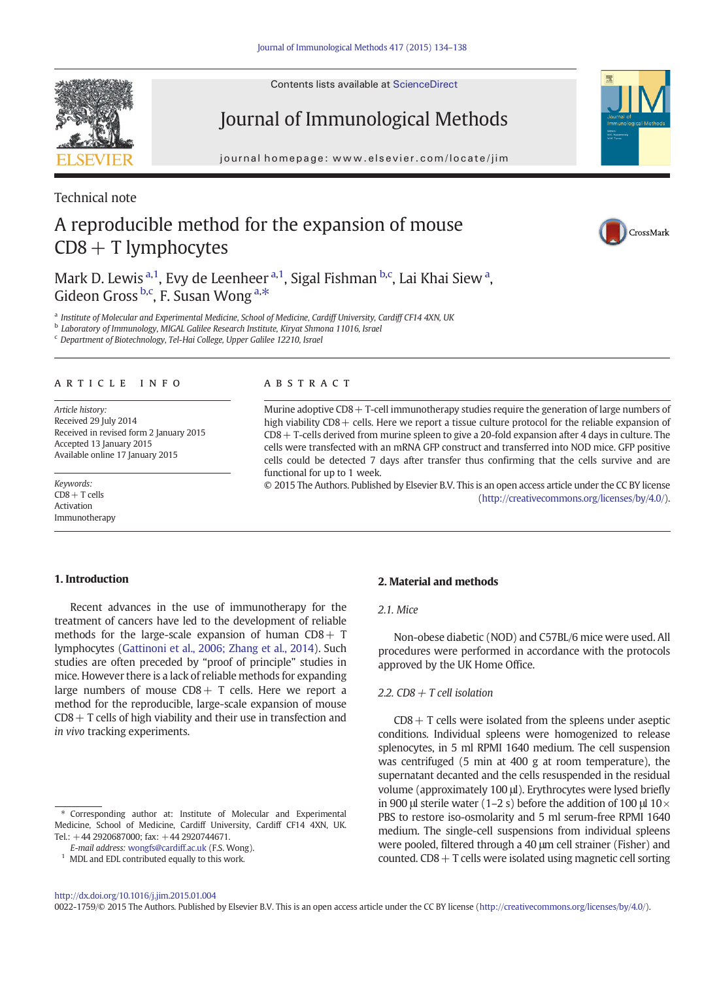Contents lists available at ScienceDirect

# Journal of Immunological Methods

journal homepage: www.elsevier.com/locate/jimm $\frac{1}{2}$ 

Technical note

# A reproducible method for the expansion of mouse  $CDS + T$  lymphocytes

Mark D. Lewis <sup>a, 1</sup>, Evy de Leenheer <sup>a, 1</sup>, Sigal Fishman <sup>b,c</sup>, Lai Khai Siew <sup>a</sup>, Gideon Gross <sup>b,c</sup>, F. Susan Wong <sup>a,\*</sup>

<sup>a</sup> Institute of Molecular and Experimental Medicine, School of Medicine, Cardiff University, Cardiff CF14 4XN, UK

**b** Laboratory of Immunology, MIGAL Galilee Research Institute, Kiryat Shmona 11016, Israel

<sup>c</sup> Department of Biotechnology, Tel-Hai College, Upper Galilee 12210, Israel

### article info abstract

Article history: Received 29 July 2014 Received in revised form 2 January 2015 Accepted 13 January 2015 Available online 17 January 2015

Keywords:  $CD8 + T$  cells Activation Immunotherapy

Murine adoptive CD8+ T-cell immunotherapy studies require the generation of large numbers of high viability CD8 + cells. Here we report a tissue culture protocol for the reliable expansion of CD8+ T-cells derived from murine spleen to give a 20-fold expansion after 4 days in culture. The cells were transfected with an mRNA GFP construct and transferred into NOD mice. GFP positive cells could be detected 7 days after transfer thus confirming that the cells survive and are functional for up to 1 week.

© 2015 The Authors. Published by Elsevier B.V. This is an open access article under the CC BY license [\(http://creativecommons.org/licenses/by/4.0/\)](http://creativecommons.org/licenses/by/4.0/).

### 1. Introduction

Recent advances in the use of immunotherapy for the treatment of cancers have led to the development of reliable methods for the large-scale expansion of human  $CD8 + T$ lymphocytes ([Gattinoni et al., 2006; Zhang et al., 2014\)](#page-3-0). Such studies are often preceded by "proof of principle" studies in mice. However there is a lack of reliable methods for expanding large numbers of mouse  $CDB + T$  cells. Here we report a method for the reproducible, large-scale expansion of mouse  $CD8 + T$  cells of high viability and their use in transfection and in vivo tracking experiments.

# 2. Material and methods

# 2.1. Mice

Non-obese diabetic (NOD) and C57BL/6 mice were used. All procedures were performed in accordance with the protocols approved by the UK Home Office.

#### 2.2. CD8  $+$  T cell isolation

 $CD8 + T$  cells were isolated from the spleens under aseptic conditions. Individual spleens were homogenized to release splenocytes, in 5 ml RPMI 1640 medium. The cell suspension was centrifuged (5 min at 400 g at room temperature), the supernatant decanted and the cells resuspended in the residual volume (approximately 100 μl). Erythrocytes were lysed briefly in 900 μl sterile water (1–2 s) before the addition of 100 μl  $10\times$ PBS to restore iso-osmolarity and 5 ml serum-free RPMI 1640 medium. The single-cell suspensions from individual spleens were pooled, filtered through a 40 μm cell strainer (Fisher) and counted.  $CD8 + T$  cells were isolated using magnetic cell sorting

0022-1759/© 2015 The Authors. Published by Elsevier B.V. This is an open access article under the CC BY license [\(http://creativecommons.org/licenses/by/4.0/\)](http://creativecommons.org/licenses/by/4.0/).







<sup>⁎</sup> Corresponding author at: Institute of Molecular and Experimental Medicine, School of Medicine, Cardiff University, Cardiff CF14 4XN, UK. Tel.:  $+44$  2920687000; fax:  $+44$  2920744671.

E-mail address: [wongfs@cardiff.ac.uk](mailto:wongfs@cardiff.ac.uk) (F.S. Wong).

 $1$  MDL and EDL contributed equally to this work.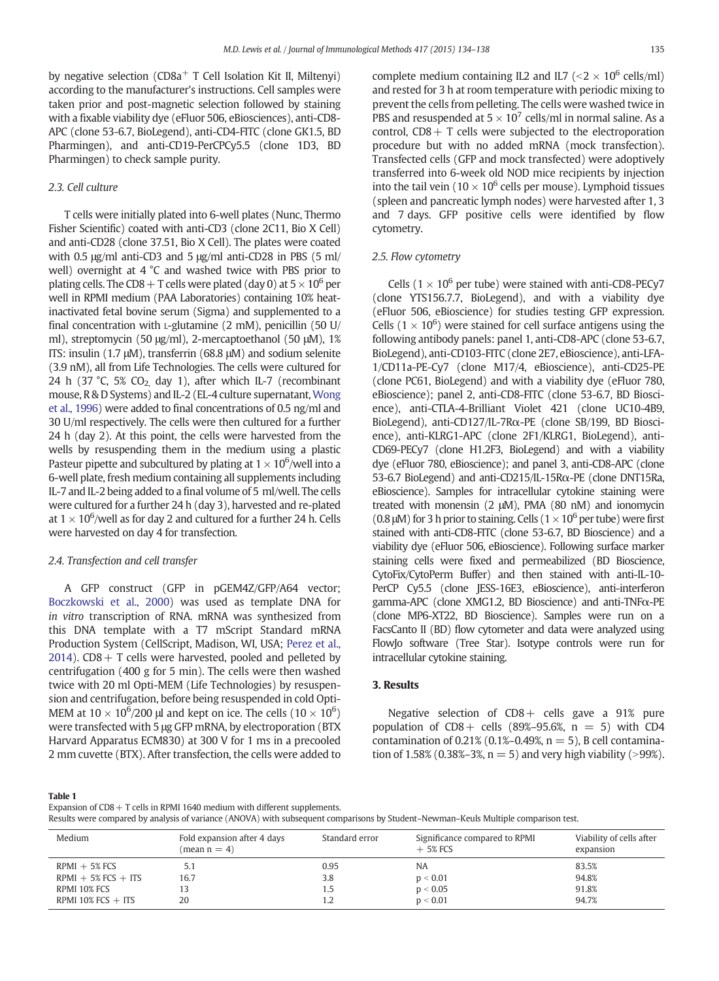<span id="page-1-0"></span>by negative selection ( $CD8a<sup>+</sup>$  T Cell Isolation Kit II, Miltenyi) according to the manufacturer's instructions. Cell samples were taken prior and post-magnetic selection followed by staining with a fixable viability dye (eFluor 506, eBiosciences), anti-CD8- APC (clone 53-6.7, BioLegend), anti-CD4-FITC (clone GK1.5, BD Pharmingen), and anti-CD19-PerCPCy5.5 (clone 1D3, BD Pharmingen) to check sample purity.

# 2.3. Cell culture

T cells were initially plated into 6-well plates (Nunc, Thermo Fisher Scientific) coated with anti-CD3 (clone 2C11, Bio X Cell) and anti-CD28 (clone 37.51, Bio X Cell). The plates were coated with 0.5 μg/ml anti-CD3 and 5 μg/ml anti-CD28 in PBS (5 ml/ well) overnight at 4 °C and washed twice with PBS prior to plating cells. The CD8 + T cells were plated (day 0) at  $5 \times 10^6$  per well in RPMI medium (PAA Laboratories) containing 10% heatinactivated fetal bovine serum (Sigma) and supplemented to a final concentration with L-glutamine (2 mM), penicillin (50 U/ ml), streptomycin (50 μg/ml), 2-mercaptoethanol (50 μM), 1% ITS: insulin (1.7 μM), transferrin (68.8 μM) and sodium selenite (3.9 nM), all from Life Technologies. The cells were cultured for 24 h (37 °C, 5% CO<sub>2</sub> day 1), after which IL-7 (recombinant mouse, R & D Systems) and IL-2 (EL-4 culture supernatant, [Wong](#page-4-0) [et al., 1996](#page-4-0)) were added to final concentrations of 0.5 ng/ml and 30 U/ml respectively. The cells were then cultured for a further 24 h (day 2). At this point, the cells were harvested from the wells by resuspending them in the medium using a plastic Pasteur pipette and subcultured by plating at 1  $\times$  10 $^{6}$ /well into a 6-well plate, fresh medium containing all supplements including IL-7 and IL-2 being added to a final volume of 5 ml/well. The cells were cultured for a further 24 h (day 3), harvested and re-plated at 1  $\times$  10<sup>6</sup>/well as for day 2 and cultured for a further 24 h. Cells were harvested on day 4 for transfection.

#### 2.4. Transfection and cell transfer

A GFP construct (GFP in pGEM4Z/GFP/A64 vector; [Boczkowski et al., 2000](#page-3-0)) was used as template DNA for in vitro transcription of RNA. mRNA was synthesized from this DNA template with a T7 mScript Standard mRNA Production System (CellScript, Madison, WI, USA; [Perez et al.,](#page-3-0) [2014\)](#page-3-0).  $CD8 + T$  cells were harvested, pooled and pelleted by centrifugation (400 g for 5 min). The cells were then washed twice with 20 ml Opti-MEM (Life Technologies) by resuspension and centrifugation, before being resuspended in cold Opti-MEM at 10  $\times$  10<sup>6</sup>/200  $\mu$ l and kept on ice. The cells (10  $\times$  10<sup>6</sup>) were transfected with 5 μg GFP mRNA, by electroporation (BTX Harvard Apparatus ECM830) at 300 V for 1 ms in a precooled 2 mm cuvette (BTX). After transfection, the cells were added to complete medium containing IL2 and IL7 ( $\leq$   $2 \times 10^6$  cells/ml) and rested for 3 h at room temperature with periodic mixing to prevent the cells from pelleting. The cells were washed twice in PBS and resuspended at  $5 \times 10^7$  cells/ml in normal saline. As a control,  $CD8 + T$  cells were subjected to the electroporation procedure but with no added mRNA (mock transfection). Transfected cells (GFP and mock transfected) were adoptively transferred into 6-week old NOD mice recipients by injection into the tail vein ( $10 \times 10^6$  cells per mouse). Lymphoid tissues (spleen and pancreatic lymph nodes) were harvested after 1, 3 and 7 days. GFP positive cells were identified by flow cytometry.

#### 2.5. Flow cytometry

Cells ( $1 \times 10^6$  per tube) were stained with anti-CD8-PECy7 (clone YTS156.7.7, BioLegend), and with a viability dye (eFluor 506, eBioscience) for studies testing GFP expression. Cells ( $1 \times 10^6$ ) were stained for cell surface antigens using the following antibody panels: panel 1, anti-CD8-APC (clone 53-6.7, BioLegend), anti-CD103-FITC (clone 2E7, eBioscience), anti-LFA-1/CD11a-PE-Cy7 (clone M17/4, eBioscience), anti-CD25-PE (clone PC61, BioLegend) and with a viability dye (eFluor 780, eBioscience); panel 2, anti-CD8-FITC (clone 53-6.7, BD Bioscience), anti-CTLA-4-Brilliant Violet 421 (clone UC10-4B9, BioLegend), anti-CD127/IL-7Rα-PE (clone SB/199, BD Bioscience), anti-KLRG1-APC (clone 2F1/KLRG1, BioLegend), anti-CD69-PECy7 (clone H1.2F3, BioLegend) and with a viability dye (eFluor 780, eBioscience); and panel 3, anti-CD8-APC (clone 53-6.7 BioLegend) and anti-CD215/IL-15Rα-PE (clone DNT15Ra, eBioscience). Samples for intracellular cytokine staining were treated with monensin (2 μM), PMA (80 nM) and ionomycin (0.8  $\mu$ M) for 3 h prior to staining. Cells (1  $\times$  10<sup>6</sup> per tube) were first stained with anti-CD8-FITC (clone 53-6.7, BD Bioscience) and a viability dye (eFluor 506, eBioscience). Following surface marker staining cells were fixed and permeabilized (BD Bioscience, CytoFix/CytoPerm Buffer) and then stained with anti-IL-10- PerCP Cy5.5 (clone JESS-16E3, eBioscience), anti-interferon gamma-APC (clone XMG1.2, BD Bioscience) and anti-TNFα-PE (clone MP6-XT22, BD Bioscience). Samples were run on a FacsCanto II (BD) flow cytometer and data were analyzed using FlowJo software (Tree Star). Isotype controls were run for intracellular cytokine staining.

#### 3. Results

Negative selection of  $CD8 +$  cells gave a  $91\%$  pure population of  $CD8 +$  cells (89%–95.6%,  $n = 5$ ) with  $CD4$ contamination of 0.21% (0.1%–0.49%,  $n = 5$ ), B cell contamination of 1.58% (0.38%–3%,  $n = 5$ ) and very high viability (>99%).

#### Table 1

Expansion of  $CD8 + T$  cells in RPMI 1640 medium with different supplements.

| Results were compared by analysis of variance (ANOVA) with subsequent comparisons by Student–Newman–Keuls Multiple comparison test. |  |  |  |  |  |
|-------------------------------------------------------------------------------------------------------------------------------------|--|--|--|--|--|
|                                                                                                                                     |  |  |  |  |  |

| Medium                | Fold expansion after 4 days<br>$(\text{mean } n = 4)$ | Standard error | Significance compared to RPMI<br>$+5\%$ FCS | Viability of cells after<br>expansion |
|-----------------------|-------------------------------------------------------|----------------|---------------------------------------------|---------------------------------------|
| $RPMI + 5% FCS$       | 5.1                                                   | 0.95           | <b>NA</b>                                   | 83.5%                                 |
| $RPMI + 5% FCS + ITS$ | 16.7                                                  | 3.8            | p < 0.01                                    | 94.8%                                 |
| RPMI 10% FCS          | 13                                                    | 1.5            | p < 0.05                                    | 91.8%                                 |
| RPMI 10% FCS $+$ ITS  | 20                                                    | 1.2            | p < 0.01                                    | 94.7%                                 |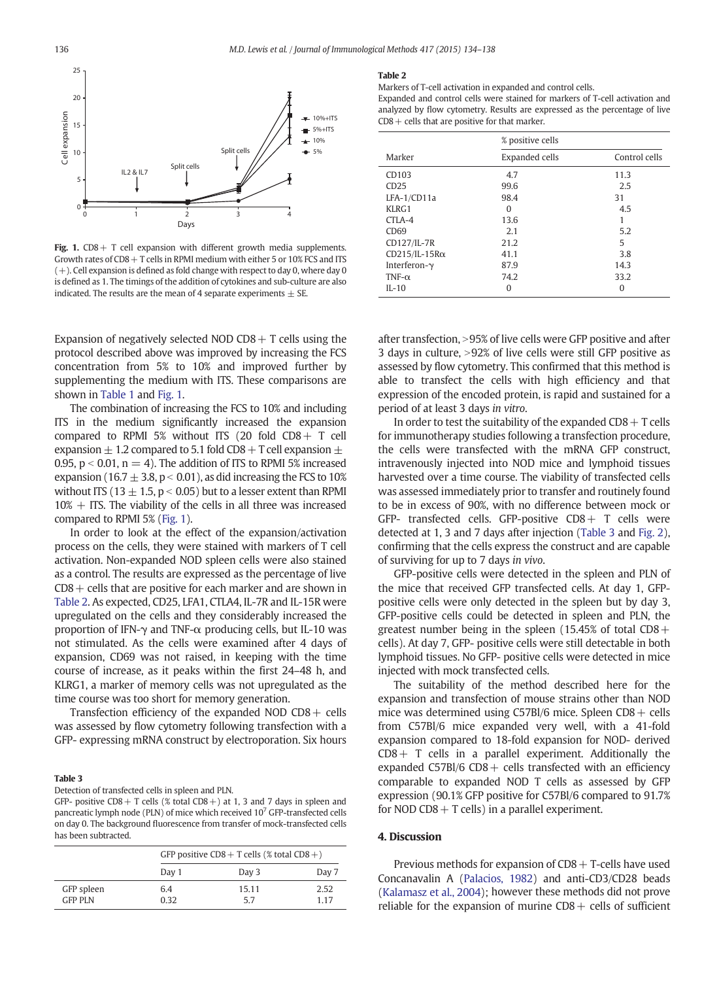<span id="page-2-0"></span>

Fig. 1.  $CD8 + T$  cell expansion with different growth media supplements. Growth rates of  $CD8 + T$  cells in RPMI medium with either 5 or 10% FCS and ITS (+). Cell expansion is defined as fold change with respect to day 0, where day 0 is defined as 1. The timings of the addition of cytokines and sub-culture are also indicated. The results are the mean of 4 separate experiments  $\pm$  SE.

Expansion of negatively selected NOD CD8  $+$  T cells using the protocol described above was improved by increasing the FCS concentration from 5% to 10% and improved further by supplementing the medium with ITS. These comparisons are shown in [Table 1](#page-1-0) and Fig. 1.

The combination of increasing the FCS to 10% and including ITS in the medium significantly increased the expansion compared to RPMI 5% without ITS (20 fold CD8+ T cell expansion  $\pm$  1.2 compared to 5.1 fold CD8 + T cell expansion  $\pm$ 0.95,  $p < 0.01$ ,  $n = 4$ ). The addition of ITS to RPMI 5% increased expansion (16.7  $\pm$  3.8, p < 0.01), as did increasing the FCS to 10% without ITS (13  $\pm$  1.5, p < 0.05) but to a lesser extent than RPMI  $10% +$  ITS. The viability of the cells in all three was increased compared to RPMI 5% (Fig. 1).

In order to look at the effect of the expansion/activation process on the cells, they were stained with markers of T cell activation. Non-expanded NOD spleen cells were also stained as a control. The results are expressed as the percentage of live  $CD8 +$  cells that are positive for each marker and are shown in Table 2. As expected, CD25, LFA1, CTLA4, IL-7R and IL-15R were upregulated on the cells and they considerably increased the proportion of IFN-γ and TNF-α producing cells, but IL-10 was not stimulated. As the cells were examined after 4 days of expansion, CD69 was not raised, in keeping with the time course of increase, as it peaks within the first 24–48 h, and KLRG1, a marker of memory cells was not upregulated as the time course was too short for memory generation.

Transfection efficiency of the expanded NOD  $CD8 +$  cells was assessed by flow cytometry following transfection with a GFP- expressing mRNA construct by electroporation. Six hours

#### Table 3

Detection of transfected cells in spleen and PLN.

GFP- positive CD8 + T cells (% total CD8 +) at 1, 3 and 7 days in spleen and pancreatic lymph node (PLN) of mice which received 107 GFP-transfected cells on day 0. The background fluorescence from transfer of mock-transfected cells has been subtracted.

|                              |             | GFP positive CD8 + T cells (% total CD8 +) |               |  |  |
|------------------------------|-------------|--------------------------------------------|---------------|--|--|
|                              | Day 1       | Day 3                                      | Day 7         |  |  |
| GFP spleen<br><b>GFP PLN</b> | 6.4<br>0.32 | 15.11<br>57                                | 2.52<br>1 1 7 |  |  |

#### Table 2

Markers of T-cell activation in expanded and control cells.

Expanded and control cells were stained for markers of T-cell activation and analyzed by flow cytometry. Results are expressed as the percentage of live  $CD8 +$  cells that are positive for that marker.

|                      | % positive cells |               |  |  |
|----------------------|------------------|---------------|--|--|
| Marker               | Expanded cells   | Control cells |  |  |
| CD103                | 4.7              | 11.3          |  |  |
| CD25                 | 99.6             | 2.5           |  |  |
| LFA-1/CD11a          | 98.4             | 31            |  |  |
| KLRG1                | 0                | 4.5           |  |  |
| CTLA-4               | 13.6             |               |  |  |
| CD69                 | 2.1              | 5.2           |  |  |
| CD127/IL-7R          | 21.2             | 5             |  |  |
| $CD215/IL-15R\alpha$ | 41.1             | 3.8           |  |  |
| Interferon-y         | 87.9             | 14.3          |  |  |
| TNF- $\alpha$        | 74.2             | 33.2          |  |  |
| $II - 10$            | O                | 0             |  |  |

after transfection, > 95% of live cells were GFP positive and after 3 days in culture, >92% of live cells were still GFP positive as assessed by flow cytometry. This confirmed that this method is able to transfect the cells with high efficiency and that expression of the encoded protein, is rapid and sustained for a period of at least 3 days in vitro.

In order to test the suitability of the expanded  $CD8 + T$  cells for immunotherapy studies following a transfection procedure, the cells were transfected with the mRNA GFP construct, intravenously injected into NOD mice and lymphoid tissues harvested over a time course. The viability of transfected cells was assessed immediately prior to transfer and routinely found to be in excess of 90%, with no difference between mock or GFP- transfected cells. GFP-positive  $CDS + T$  cells were detected at 1, 3 and 7 days after injection (Table 3 and [Fig. 2](#page-3-0)), confirming that the cells express the construct and are capable of surviving for up to 7 days in vivo.

GFP-positive cells were detected in the spleen and PLN of the mice that received GFP transfected cells. At day 1, GFPpositive cells were only detected in the spleen but by day 3, GFP-positive cells could be detected in spleen and PLN, the greatest number being in the spleen (15.45% of total  $CD8+$ cells). At day 7, GFP- positive cells were still detectable in both lymphoid tissues. No GFP- positive cells were detected in mice injected with mock transfected cells.

The suitability of the method described here for the expansion and transfection of mouse strains other than NOD mice was determined using C57Bl/6 mice. Spleen  $CD8 +$  cells from C57Bl/6 mice expanded very well, with a 41-fold expansion compared to 18-fold expansion for NOD- derived  $CD8+T$  cells in a parallel experiment. Additionally the expanded  $C57B1/6$  CD8 + cells transfected with an efficiency comparable to expanded NOD T cells as assessed by GFP expression (90.1% GFP positive for C57Bl/6 compared to 91.7% for NOD CD8  $+$  T cells) in a parallel experiment.

#### 4. Discussion

Previous methods for expansion of  $CD8 + T$ -cells have used Concanavalin A [\(Palacios, 1982](#page-3-0)) and anti-CD3/CD28 beads ([Kalamasz et al., 2004\)](#page-3-0); however these methods did not prove reliable for the expansion of murine  $CD8 +$  cells of sufficient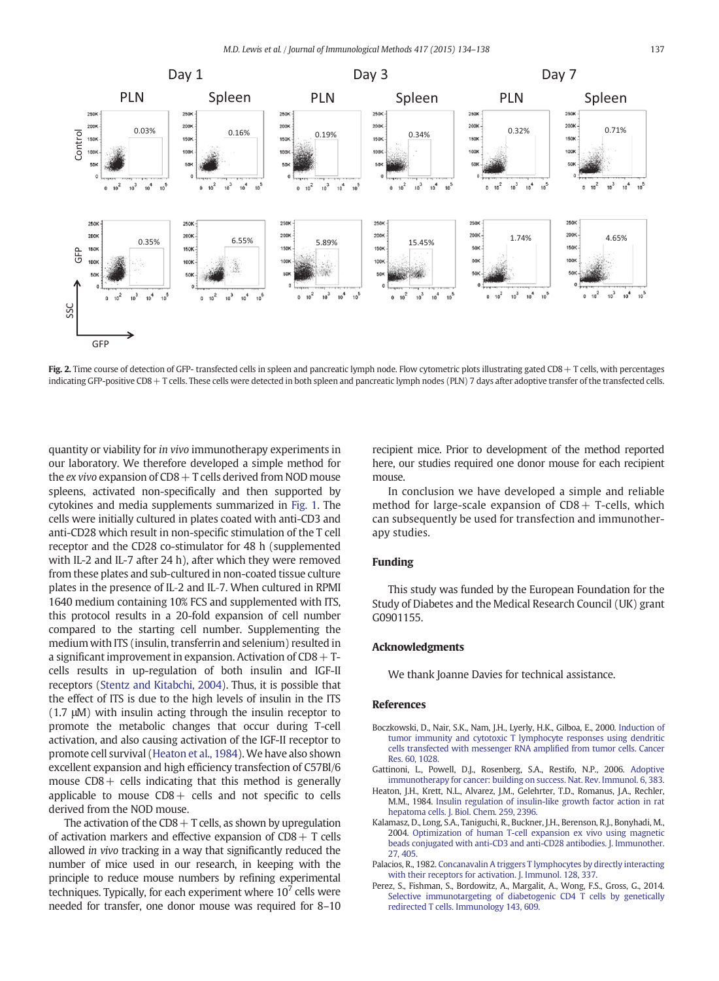<span id="page-3-0"></span>

Fig. 2. Time course of detection of GFP- transfected cells in spleen and pancreatic lymph node. Flow cytometric plots illustrating gated CD8 + T cells, with percentages indicating GFP-positive CD8+ T cells. These cells were detected in both spleen and pancreatic lymph nodes (PLN) 7 days after adoptive transfer of the transfected cells.

quantity or viability for in vivo immunotherapy experiments in our laboratory. We therefore developed a simple method for the  $ex$  vivo expansion of  $CDS + T$  cells derived from NOD mouse spleens, activated non-specifically and then supported by cytokines and media supplements summarized in [Fig. 1](#page-2-0). The cells were initially cultured in plates coated with anti-CD3 and anti-CD28 which result in non-specific stimulation of the T cell receptor and the CD28 co-stimulator for 48 h (supplemented with IL-2 and IL-7 after 24 h), after which they were removed from these plates and sub-cultured in non-coated tissue culture plates in the presence of IL‐2 and IL‐7. When cultured in RPMI 1640 medium containing 10% FCS and supplemented with ITS, this protocol results in a 20-fold expansion of cell number compared to the starting cell number. Supplementing the medium with ITS (insulin, transferrin and selenium) resulted in a significant improvement in expansion. Activation of  $CD8 + T$ cells results in up-regulation of both insulin and IGF-II receptors [\(Stentz and Kitabchi, 2004\)](#page-4-0). Thus, it is possible that the effect of ITS is due to the high levels of insulin in the ITS (1.7 μM) with insulin acting through the insulin receptor to promote the metabolic changes that occur during T-cell activation, and also causing activation of the IGF-II receptor to promote cell survival (Heaton et al., 1984). We have also shown excellent expansion and high efficiency transfection of C57Bl/6 mouse  $CD8 +$  cells indicating that this method is generally applicable to mouse  $CDB +$  cells and not specific to cells derived from the NOD mouse.

The activation of the  $CD8 + T$  cells, as shown by upregulation of activation markers and effective expansion of  $CDS + T$  cells allowed in vivo tracking in a way that significantly reduced the number of mice used in our research, in keeping with the principle to reduce mouse numbers by refining experimental techniques. Typically, for each experiment where  $10<sup>7</sup>$  cells were needed for transfer, one donor mouse was required for 8–10

recipient mice. Prior to development of the method reported here, our studies required one donor mouse for each recipient mouse.

In conclusion we have developed a simple and reliable method for large-scale expansion of  $CD8 + T$ -cells, which can subsequently be used for transfection and immunotherapy studies.

#### Funding

This study was funded by the European Foundation for the Study of Diabetes and the Medical Research Council (UK) grant G0901155.

#### Acknowledgments

We thank Joanne Davies for technical assistance.

#### References

- Boczkowski, D., Nair, S.K., Nam, J.H., Lyerly, H.K., Gilboa, E., 2000. [Induction of](http://refhub.elsevier.com/S0022-1759(15)00007-1/rf0005) [tumor immunity and cytotoxic T lymphocyte responses using dendritic](http://refhub.elsevier.com/S0022-1759(15)00007-1/rf0005) [cells transfected with messenger RNA amplified from tumor cells. Cancer](http://refhub.elsevier.com/S0022-1759(15)00007-1/rf0005) [Res. 60, 1028](http://refhub.elsevier.com/S0022-1759(15)00007-1/rf0005).
- Gattinoni, L., Powell, D.J., Rosenberg, S.A., Restifo, N.P., 2006. [Adoptive](http://refhub.elsevier.com/S0022-1759(15)00007-1/rf0010) [immunotherapy for cancer: building on success. Nat. Rev. Immunol. 6, 383.](http://refhub.elsevier.com/S0022-1759(15)00007-1/rf0010)
- Heaton, J.H., Krett, N.L., Alvarez, J.M., Gelehrter, T.D., Romanus, J.A., Rechler, M.M., 1984. [Insulin regulation of insulin-like growth factor action in rat](http://refhub.elsevier.com/S0022-1759(15)00007-1/rf0015) [hepatoma cells. J. Biol. Chem. 259, 2396.](http://refhub.elsevier.com/S0022-1759(15)00007-1/rf0015)
- Kalamasz, D., Long, S.A., Taniguchi, R., Buckner, J.H., Berenson, R.J., Bonyhadi, M., 2004. [Optimization of human T-cell expansion ex vivo using magnetic](http://refhub.elsevier.com/S0022-1759(15)00007-1/rf0020) [beads conjugated with anti-CD3 and anti-CD28 antibodies. J. Immunother.](http://refhub.elsevier.com/S0022-1759(15)00007-1/rf0020) [27, 405.](http://refhub.elsevier.com/S0022-1759(15)00007-1/rf0020)
- Palacios, R., 1982. [Concanavalin A triggers T lymphocytes by directly interacting](http://refhub.elsevier.com/S0022-1759(15)00007-1/rf0025) [with their receptors for activation. J. Immunol. 128, 337.](http://refhub.elsevier.com/S0022-1759(15)00007-1/rf0025)
- Perez, S., Fishman, S., Bordowitz, A., Margalit, A., Wong, F.S., Gross, G., 2014. [Selective immunotargeting of diabetogenic CD4 T cells by genetically](http://refhub.elsevier.com/S0022-1759(15)00007-1/rf0045) [redirected T cells. Immunology 143, 609](http://refhub.elsevier.com/S0022-1759(15)00007-1/rf0045).